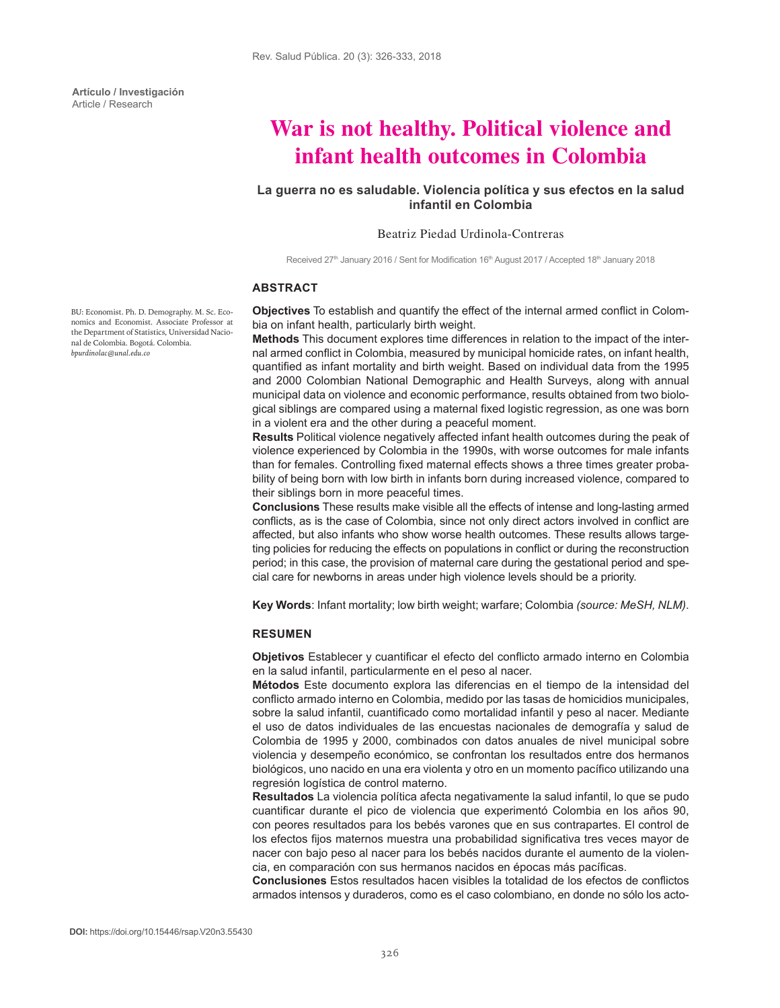**Artículo / Investigación** Article / Research

# **War is not healthy. Political violence and infant health outcomes in Colombia**

# **La guerra no es saludable. Violencia política y sus efectos en la salud infantil en Colombia**

#### Beatriz Piedad Urdinola-Contreras

Received 27<sup>th</sup> January 2016 / Sent for Modification 16<sup>th</sup> August 2017 / Accepted 18<sup>th</sup> January 2018

#### **ABSTRACT**

**Objectives** To establish and quantify the effect of the internal armed conflict in Colombia on infant health, particularly birth weight.

**Methods** This document explores time differences in relation to the impact of the internal armed conflict in Colombia, measured by municipal homicide rates, on infant health, quantified as infant mortality and birth weight. Based on individual data from the 1995 and 2000 Colombian National Demographic and Health Surveys, along with annual municipal data on violence and economic performance, results obtained from two biological siblings are compared using a maternal fixed logistic regression, as one was born in a violent era and the other during a peaceful moment.

**Results** Political violence negatively affected infant health outcomes during the peak of violence experienced by Colombia in the 1990s, with worse outcomes for male infants than for females. Controlling fixed maternal effects shows a three times greater probability of being born with low birth in infants born during increased violence, compared to their siblings born in more peaceful times.

**Conclusions** These results make visible all the effects of intense and long-lasting armed conflicts, as is the case of Colombia, since not only direct actors involved in conflict are affected, but also infants who show worse health outcomes. These results allows targeting policies for reducing the effects on populations in conflict or during the reconstruction period; in this case, the provision of maternal care during the gestational period and special care for newborns in areas under high violence levels should be a priority.

**Key Words**: Infant mortality; low birth weight; warfare; Colombia *(source: MeSH, NLM)*.

## **RESUMEN**

**Objetivos** Establecer y cuantificar el efecto del conflicto armado interno en Colombia en la salud infantil, particularmente en el peso al nacer.

**Métodos** Este documento explora las diferencias en el tiempo de la intensidad del conflicto armado interno en Colombia, medido por las tasas de homicidios municipales, sobre la salud infantil, cuantificado como mortalidad infantil y peso al nacer. Mediante el uso de datos individuales de las encuestas nacionales de demografía y salud de Colombia de 1995 y 2000, combinados con datos anuales de nivel municipal sobre violencia y desempeño económico, se confrontan los resultados entre dos hermanos biológicos, uno nacido en una era violenta y otro en un momento pacífico utilizando una regresión logística de control materno.

**Resultados** La violencia política afecta negativamente la salud infantil, lo que se pudo cuantificar durante el pico de violencia que experimentó Colombia en los años 90, con peores resultados para los bebés varones que en sus contrapartes. El control de los efectos fijos maternos muestra una probabilidad significativa tres veces mayor de nacer con bajo peso al nacer para los bebés nacidos durante el aumento de la violencia, en comparación con sus hermanos nacidos en épocas más pacíficas.

**Conclusiones** Estos resultados hacen visibles la totalidad de los efectos de conflictos armados intensos y duraderos, como es el caso colombiano, en donde no sólo los acto-

BU: Economist. Ph. D. Demography. M. Sc. Economics and Economist. Associate Professor at the Department of Statistics, Universidad Nacional de Colombia. Bogotá. Colombia. *bpurdinolac@unal.edu.co*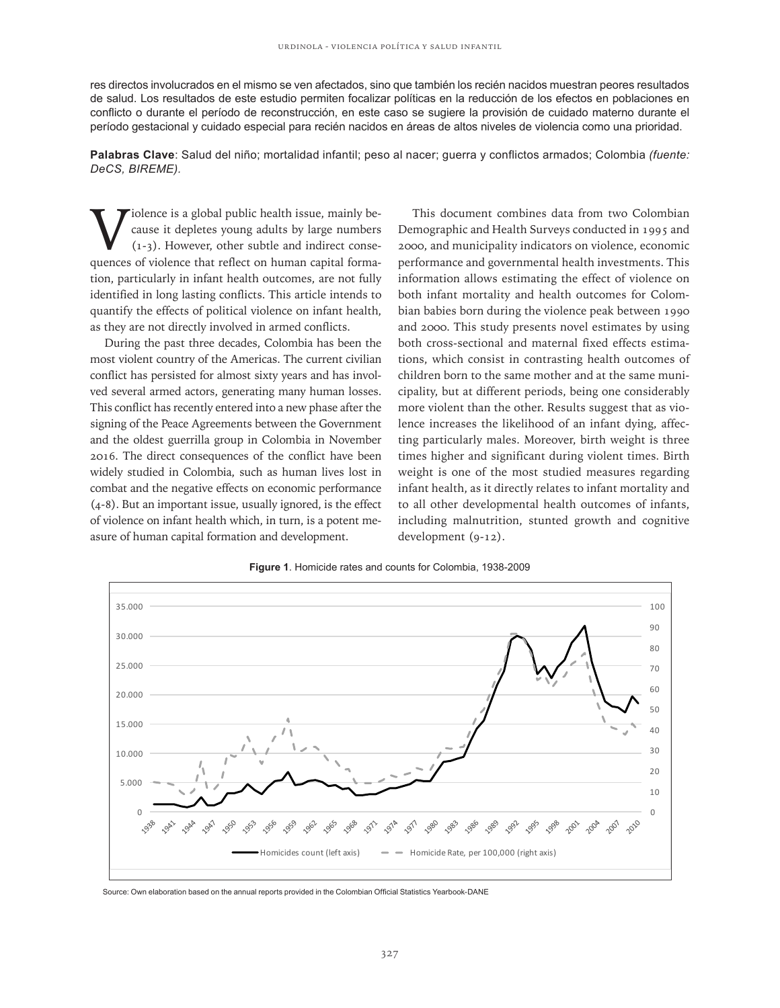res directos involucrados en el mismo se ven afectados, sino que también los recién nacidos muestran peores resultados de salud. Los resultados de este estudio permiten focalizar políticas en la reducción de los efectos en poblaciones en conflicto o durante el período de reconstrucción, en este caso se sugiere la provisión de cuidado materno durante el período gestacional y cuidado especial para recién nacidos en áreas de altos niveles de violencia como una prioridad.

**Palabras Clave**: Salud del niño; mortalidad infantil; peso al nacer; guerra y conflictos armados; Colombia *(fuente: DeCS, BIREME).*

 $\sum$  iolence is a global public health issue, mainly be-<br>cause it depletes young adults by large numbers<br> $(1-3)$ . However, other subtle and indirect conse-<br>quences of violence that reflect on human capital formacause it depletes young adults by large numbers (1-3). However, other subtle and indirect consequences of violence that reflect on human capital formation, particularly in infant health outcomes, are not fully identified in long lasting conflicts. This article intends to quantify the effects of political violence on infant health, as they are not directly involved in armed conflicts.

During the past three decades, Colombia has been the most violent country of the Americas. The current civilian conflict has persisted for almost sixty years and has involved several armed actors, generating many human losses. This conflict has recently entered into a new phase after the signing of the Peace Agreements between the Government and the oldest guerrilla group in Colombia in November 2016. The direct consequences of the conflict have been widely studied in Colombia, such as human lives lost in combat and the negative effects on economic performance (4-8). But an important issue, usually ignored, is the effect of violence on infant health which, in turn, is a potent measure of human capital formation and development.

This document combines data from two Colombian Demographic and Health Surveys conducted in 1995 and 2000, and municipality indicators on violence, economic performance and governmental health investments. This information allows estimating the effect of violence on both infant mortality and health outcomes for Colombian babies born during the violence peak between 1990 and 2000. This study presents novel estimates by using both cross-sectional and maternal fixed effects estimations, which consist in contrasting health outcomes of children born to the same mother and at the same municipality, but at different periods, being one considerably more violent than the other. Results suggest that as violence increases the likelihood of an infant dying, affecting particularly males. Moreover, birth weight is three times higher and significant during violent times. Birth weight is one of the most studied measures regarding infant health, as it directly relates to infant mortality and to all other developmental health outcomes of infants, including malnutrition, stunted growth and cognitive development (9-12).



**Figure 1**. Homicide rates and counts for Colombia, 1938-2009

Source: Own elaboration based on the annual reports provided in the Colombian Official Statistics Yearbook-DANE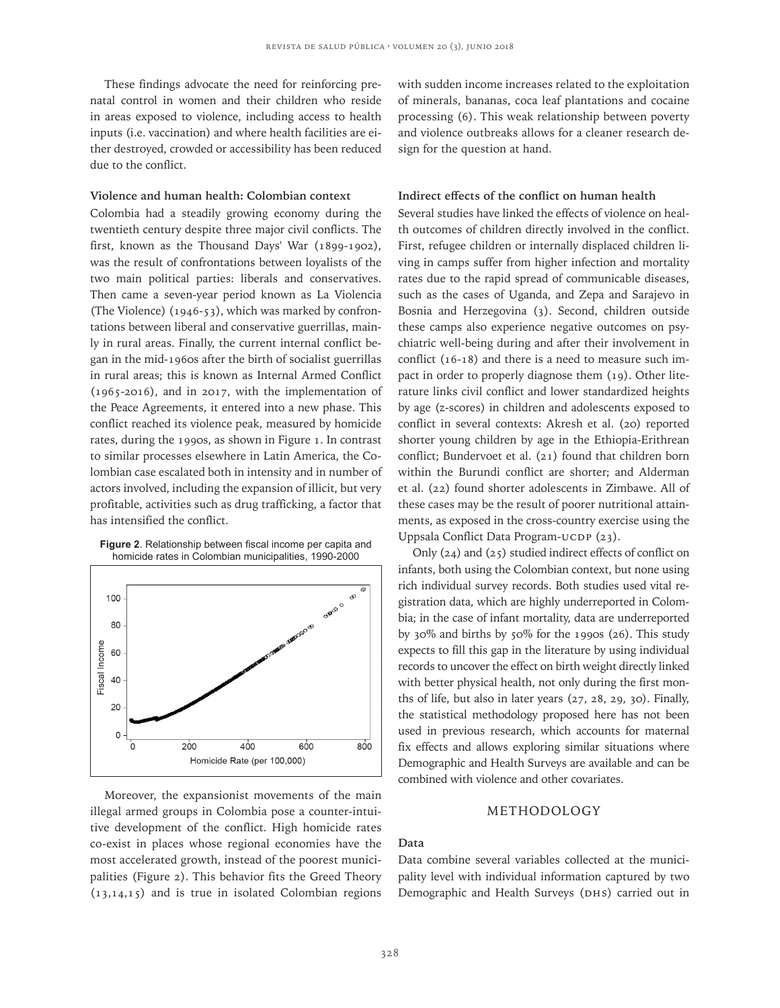These findings advocate the need for reinforcing prenatal control in women and their children who reside in areas exposed to violence, including access to health inputs (i.e. vaccination) and where health facilities are either destroyed, crowded or accessibility has been reduced due to the conflict.

# **Violence and human health: Colombian context**

Colombia had a steadily growing economy during the twentieth century despite three major civil conflicts. The first, known as the Thousand Days' War (1899-1902), was the result of confrontations between loyalists of the two main political parties: liberals and conservatives. Then came a seven-year period known as La Violencia (The Violence) (1946-53), which was marked by confrontations between liberal and conservative guerrillas, mainly in rural areas. Finally, the current internal conflict began in the mid-1960s after the birth of socialist guerrillas in rural areas; this is known as Internal Armed Conflict (1965-2016), and in 2017, with the implementation of the Peace Agreements, it entered into a new phase. This conflict reached its violence peak, measured by homicide rates, during the 1990s, as shown in Figure 1. In contrast to similar processes elsewhere in Latin America, the Colombian case escalated both in intensity and in number of actors involved, including the expansion of illicit, but very profitable, activities such as drug trafficking, a factor that has intensified the conflict.





Moreover, the expansionist movements of the main illegal armed groups in Colombia pose a counter-intuitive development of the conflict. High homicide rates co-exist in places whose regional economies have the most accelerated growth, instead of the poorest municipalities (Figure 2). This behavior fits the Greed Theory (13,14,15) and is true in isolated Colombian regions with sudden income increases related to the exploitation of minerals, bananas, coca leaf plantations and cocaine processing (6). This weak relationship between poverty and violence outbreaks allows for a cleaner research design for the question at hand.

## **Indirect effects of the conflict on human health**

Several studies have linked the effects of violence on health outcomes of children directly involved in the conflict. First, refugee children or internally displaced children living in camps suffer from higher infection and mortality rates due to the rapid spread of communicable diseases, such as the cases of Uganda, and Zepa and Sarajevo in Bosnia and Herzegovina (3). Second, children outside these camps also experience negative outcomes on psychiatric well-being during and after their involvement in conflict (16-18) and there is a need to measure such impact in order to properly diagnose them (19). Other literature links civil conflict and lower standardized heights by age (z-scores) in children and adolescents exposed to conflict in several contexts: Akresh et al. (20) reported shorter young children by age in the Ethiopia-Erithrean conflict; Bundervoet et al. (21) found that children born within the Burundi conflict are shorter; and Alderman et al. (22) found shorter adolescents in Zimbawe. All of these cases may be the result of poorer nutritional attainments, as exposed in the cross-country exercise using the Uppsala Conflict Data Program-UCDP (23).

Only (24) and (25) studied indirect effects of conflict on infants, both using the Colombian context, but none using rich individual survey records. Both studies used vital registration data, which are highly underreported in Colombia; in the case of infant mortality, data are underreported by 30% and births by 50% for the 1990s (26). This study expects to fill this gap in the literature by using individual records to uncover the effect on birth weight directly linked with better physical health, not only during the first months of life, but also in later years (27, 28, 29, 30). Finally, the statistical methodology proposed here has not been used in previous research, which accounts for maternal fix effects and allows exploring similar situations where Demographic and Health Surveys are available and can be combined with violence and other covariates.

# METHODOLOGY

#### **Data**

Data combine several variables collected at the municipality level with individual information captured by two Demographic and Health Surveys (DHS) carried out in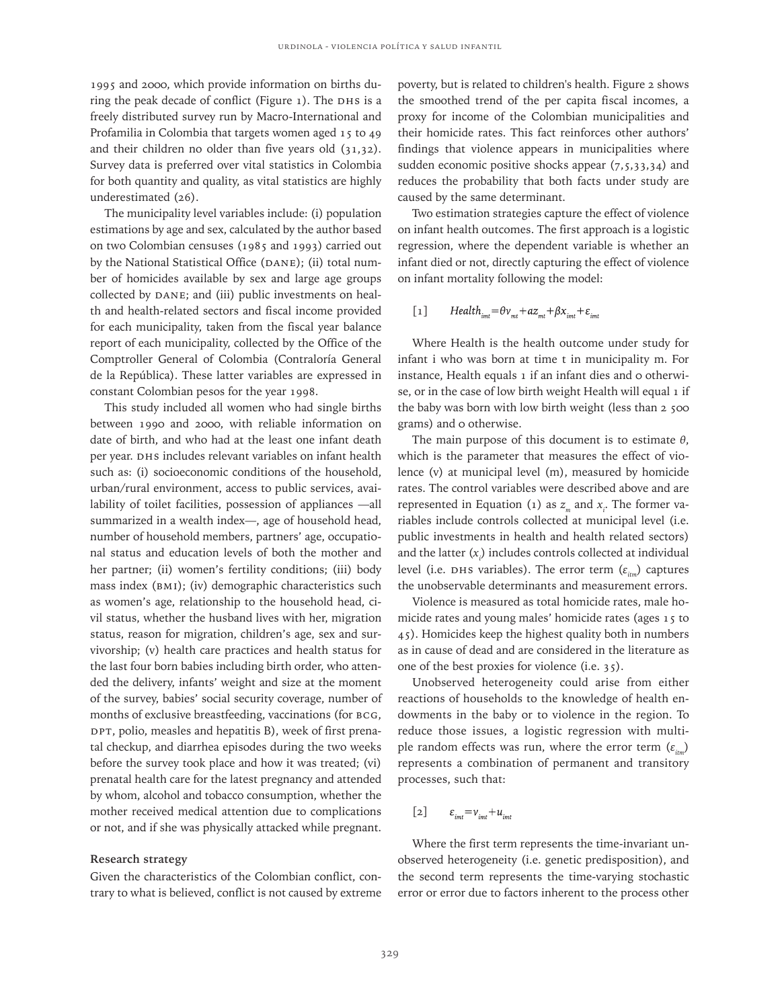1995 and 2000, which provide information on births during the peak decade of conflict (Figure 1). The DHS is a freely distributed survey run by Macro-International and Profamilia in Colombia that targets women aged 15 to 49 and their children no older than five years old (31,32). Survey data is preferred over vital statistics in Colombia for both quantity and quality, as vital statistics are highly underestimated (26).

The municipality level variables include: (i) population estimations by age and sex, calculated by the author based on two Colombian censuses (1985 and 1993) carried out by the National Statistical Office (DANE); (ii) total number of homicides available by sex and large age groups collected by DANE; and (iii) public investments on health and health-related sectors and fiscal income provided for each municipality, taken from the fiscal year balance report of each municipality, collected by the Office of the Comptroller General of Colombia (Contraloría General de la República). These latter variables are expressed in constant Colombian pesos for the year 1998.

This study included all women who had single births between 1990 and 2000, with reliable information on date of birth, and who had at the least one infant death per year. DHS includes relevant variables on infant health such as: (i) socioeconomic conditions of the household, urban/rural environment, access to public services, availability of toilet facilities, possession of appliances —all summarized in a wealth index—, age of household head, number of household members, partners' age, occupational status and education levels of both the mother and her partner; (ii) women's fertility conditions; (iii) body mass index (BMI); (iv) demographic characteristics such as women's age, relationship to the household head, civil status, whether the husband lives with her, migration status, reason for migration, children's age, sex and survivorship; (v) health care practices and health status for the last four born babies including birth order, who attended the delivery, infants' weight and size at the moment of the survey, babies' social security coverage, number of months of exclusive breastfeeding, vaccinations (for BCG, DPT, polio, measles and hepatitis B), week of first prenatal checkup, and diarrhea episodes during the two weeks before the survey took place and how it was treated; (vi) prenatal health care for the latest pregnancy and attended by whom, alcohol and tobacco consumption, whether the mother received medical attention due to complications or not, and if she was physically attacked while pregnant.

### **Research strategy**

Given the characteristics of the Colombian conflict, contrary to what is believed, conflict is not caused by extreme poverty, but is related to children's health. Figure 2 shows the smoothed trend of the per capita fiscal incomes, a proxy for income of the Colombian municipalities and their homicide rates. This fact reinforces other authors' findings that violence appears in municipalities where sudden economic positive shocks appear  $(7,5,33,34)$  and reduces the probability that both facts under study are caused by the same determinant.

Two estimation strategies capture the effect of violence on infant health outcomes. The first approach is a logistic regression, where the dependent variable is whether an infant died or not, directly capturing the effect of violence on infant mortality following the model:

 $Health_{int} = \theta v_{mt} + az_{mt} + \beta x_{imt} + \varepsilon_{imt}$ [1]

Where Health is the health outcome under study for infant i who was born at time t in municipality m. For instance, Health equals 1 if an infant dies and 0 otherwise, or in the case of low birth weight Health will equal 1 if the baby was born with low birth weight (less than 2 500 grams) and 0 otherwise.

The main purpose of this document is to estimate *θ*, which is the parameter that measures the effect of violence (v) at municipal level (m), measured by homicide rates. The control variables were described above and are represented in Equation (1) as  $z_{_m}$  and  $x_{_i}$ . The former variables include controls collected at municipal level (i.e. public investments in health and health related sectors) and the latter (*xi* ) includes controls collected at individual level (i.e. DHS variables). The error term (ε<sub>*im*</sub>)</sub> captures the unobservable determinants and measurement errors.

Violence is measured as total homicide rates, male homicide rates and young males' homicide rates (ages 15 to 45). Homicides keep the highest quality both in numbers as in cause of dead and are considered in the literature as one of the best proxies for violence (i.e. 35).

Unobserved heterogeneity could arise from either reactions of households to the knowledge of health endowments in the baby or to violence in the region. To reduce those issues, a logistic regression with multiple random effects was run, where the error term (ε<sub>*im*</sub>)</sub> represents a combination of permanent and transitory processes, such that:

$$
[2] \qquad \varepsilon_{\text{int}} = v_{\text{int}} + u_{\text{int}}
$$

Where the first term represents the time-invariant unobserved heterogeneity (i.e. genetic predisposition), and the second term represents the time-varying stochastic error or error due to factors inherent to the process other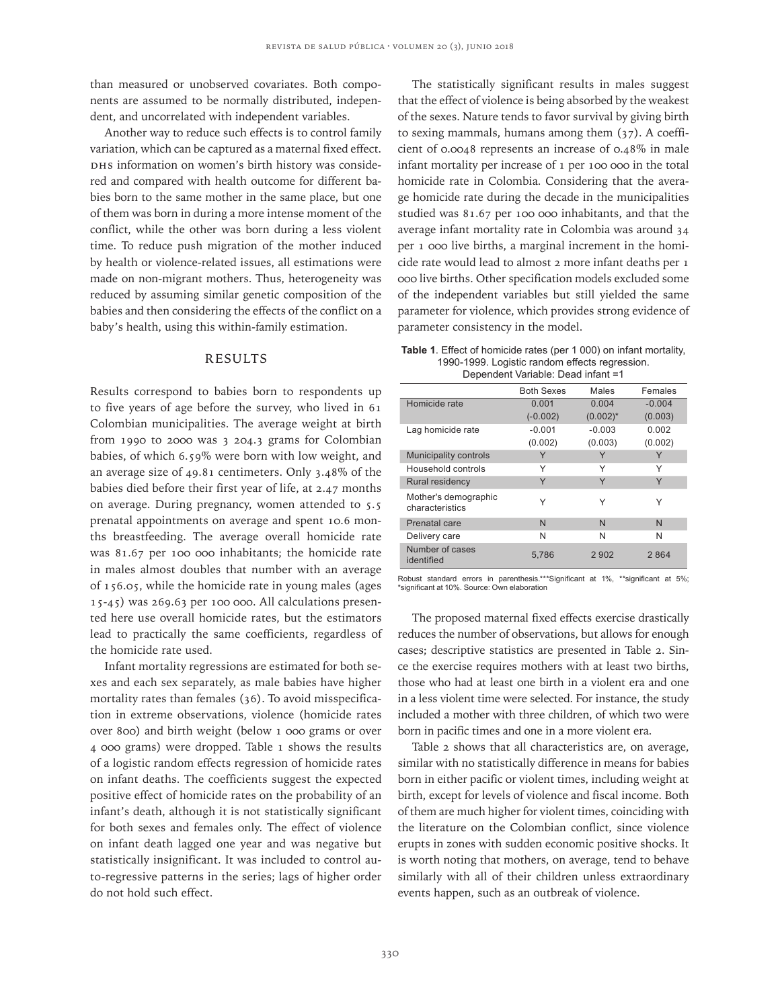than measured or unobserved covariates. Both components are assumed to be normally distributed, independent, and uncorrelated with independent variables.

Another way to reduce such effects is to control family variation, which can be captured as a maternal fixed effect. DHS information on women's birth history was considered and compared with health outcome for different babies born to the same mother in the same place, but one of them was born in during a more intense moment of the conflict, while the other was born during a less violent time. To reduce push migration of the mother induced by health or violence-related issues, all estimations were made on non-migrant mothers. Thus, heterogeneity was reduced by assuming similar genetic composition of the babies and then considering the effects of the conflict on a baby's health, using this within-family estimation.

# RESULTS

Results correspond to babies born to respondents up to five years of age before the survey, who lived in 61 Colombian municipalities. The average weight at birth from 1990 to 2000 was 3 204.3 grams for Colombian babies, of which 6.59% were born with low weight, and an average size of 49.81 centimeters. Only 3.48% of the babies died before their first year of life, at 2.47 months on average. During pregnancy, women attended to 5.5 prenatal appointments on average and spent 10.6 months breastfeeding. The average overall homicide rate was 81.67 per 100 000 inhabitants; the homicide rate in males almost doubles that number with an average of 156.05, while the homicide rate in young males (ages 15-45) was 269.63 per 100 000. All calculations presented here use overall homicide rates, but the estimators lead to practically the same coefficients, regardless of the homicide rate used.

Infant mortality regressions are estimated for both sexes and each sex separately, as male babies have higher mortality rates than females (36). To avoid misspecification in extreme observations, violence (homicide rates over 800) and birth weight (below 1 000 grams or over 4 000 grams) were dropped. Table 1 shows the results of a logistic random effects regression of homicide rates on infant deaths. The coefficients suggest the expected positive effect of homicide rates on the probability of an infant's death, although it is not statistically significant for both sexes and females only. The effect of violence on infant death lagged one year and was negative but statistically insignificant. It was included to control auto-regressive patterns in the series; lags of higher order do not hold such effect.

The statistically significant results in males suggest that the effect of violence is being absorbed by the weakest of the sexes. Nature tends to favor survival by giving birth to sexing mammals, humans among them (37). A coefficient of 0.0048 represents an increase of 0.48% in male infant mortality per increase of 1 per 100 000 in the total homicide rate in Colombia. Considering that the average homicide rate during the decade in the municipalities studied was 81.67 per 100 000 inhabitants, and that the average infant mortality rate in Colombia was around 34 per 1 000 live births, a marginal increment in the homicide rate would lead to almost 2 more infant deaths per 1 000 live births. Other specification models excluded some of the independent variables but still yielded the same parameter for violence, which provides strong evidence of parameter consistency in the model.

**Table 1**. Effect of homicide rates (per 1 000) on infant mortality, 1990-1999. Logistic random effects regression. Dependent Variable: Dead infant =1

|                                         | <b>Both Sexes</b> | Males       | Females  |  |
|-----------------------------------------|-------------------|-------------|----------|--|
| Homicide rate                           | 0.001             | 0.004       | $-0.004$ |  |
|                                         | $(-0.002)$        | $(0.002)^*$ | (0.003)  |  |
| Lag homicide rate                       | $-0.001$          | $-0.003$    | 0.002    |  |
|                                         | (0.002)           | (0.003)     | (0.002)  |  |
| Municipality controls                   |                   | Υ           | Y        |  |
| Household controls                      | Υ                 | Υ           | Υ        |  |
| Rural residency                         | Y                 | Y           | Y        |  |
| Mother's demographic<br>characteristics | Υ                 | Υ           | Υ        |  |
| Prenatal care                           | N                 | N           | N        |  |
| Delivery care                           | N                 | N           | N        |  |
| Number of cases<br>identified           | 5,786             | 2902        | 2864     |  |

Robust standard errors in parenthesis.\*\*\*Significant at 1%, \*\*significant at 5%; \*significant at 10%. Source: Own elaboration

The proposed maternal fixed effects exercise drastically reduces the number of observations, but allows for enough cases; descriptive statistics are presented in Table 2. Since the exercise requires mothers with at least two births, those who had at least one birth in a violent era and one in a less violent time were selected. For instance, the study included a mother with three children, of which two were born in pacific times and one in a more violent era.

Table 2 shows that all characteristics are, on average, similar with no statistically difference in means for babies born in either pacific or violent times, including weight at birth, except for levels of violence and fiscal income. Both of them are much higher for violent times, coinciding with the literature on the Colombian conflict, since violence erupts in zones with sudden economic positive shocks. It is worth noting that mothers, on average, tend to behave similarly with all of their children unless extraordinary events happen, such as an outbreak of violence.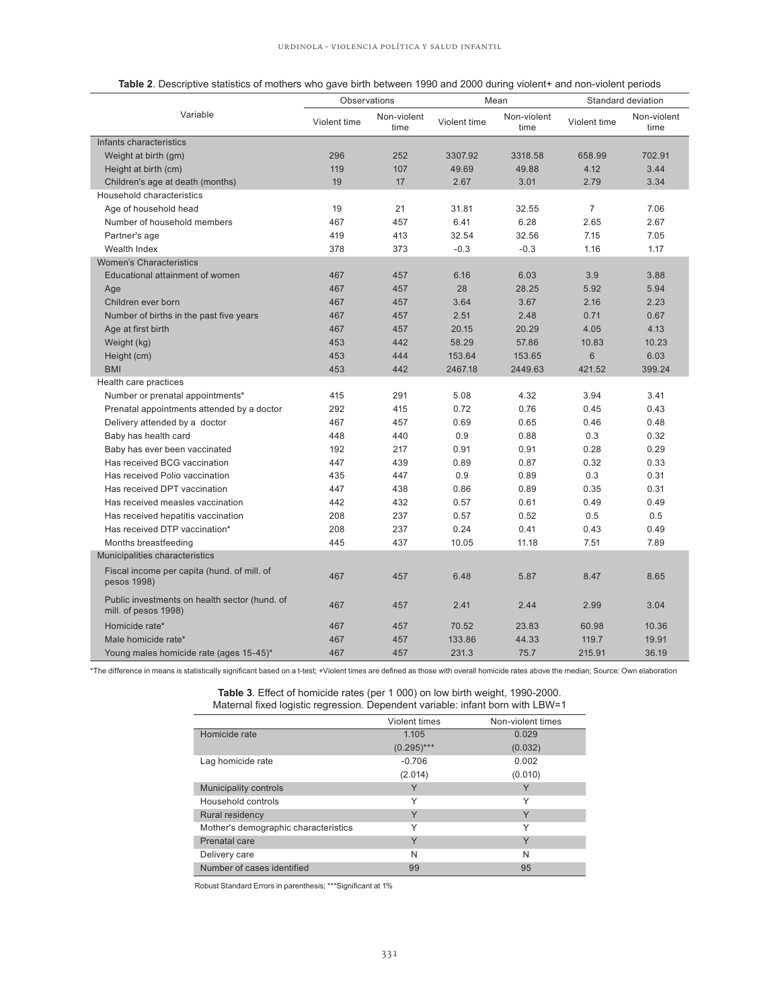| Table 2. Descriptive statistics of mothers who gave birth between 1990 and 2000 during violent+ and non-violent periods |  |  |
|-------------------------------------------------------------------------------------------------------------------------|--|--|
|                                                                                                                         |  |  |

| Observations                                                          |              | Mean                |              | Standard deviation  |                |                     |
|-----------------------------------------------------------------------|--------------|---------------------|--------------|---------------------|----------------|---------------------|
| Variable                                                              | Violent time | Non-violent<br>time | Violent time | Non-violent<br>time | Violent time   | Non-violent<br>time |
| Infants characteristics                                               |              |                     |              |                     |                |                     |
| Weight at birth (gm)                                                  | 296          | 252                 | 3307.92      | 3318.58             | 658.99         | 702.91              |
| Height at birth (cm)                                                  | 119          | 107                 | 49.69        | 49.88               | 4.12           | 3.44                |
| Children's age at death (months)                                      | 19           | 17                  | 2.67         | 3.01                | 2.79           | 3.34                |
| Household characteristics                                             |              |                     |              |                     |                |                     |
| Age of household head                                                 | 19           | 21                  | 31.81        | 32.55               | $\overline{7}$ | 7.06                |
| Number of household members                                           | 467          | 457                 | 6.41         | 6.28                | 2.65           | 2.67                |
| Partner's age                                                         | 419          | 413                 | 32.54        | 32.56               | 7.15           | 7.05                |
| Wealth Index                                                          | 378          | 373                 | $-0.3$       | $-0.3$              | 1.16           | 1.17                |
| Women's Characteristics                                               |              |                     |              |                     |                |                     |
| Educational attainment of women                                       | 467          | 457                 | 6.16         | 6.03                | 3.9            | 3.88                |
| Age                                                                   | 467          | 457                 | 28           | 28.25               | 5.92           | 5.94                |
| Children ever born                                                    | 467          | 457                 | 3.64         | 3.67                | 2.16           | 2.23                |
| Number of births in the past five years                               | 467          | 457                 | 2.51         | 2.48                | 0.71           | 0.67                |
| Age at first birth                                                    | 467          | 457                 | 20.15        | 20.29               | 4.05           | 4.13                |
| Weight (kg)                                                           | 453          | 442                 | 58.29        | 57.86               | 10.83          | 10.23               |
| Height (cm)                                                           | 453          | 444                 | 153.64       | 153.65              | $6\phantom{1}$ | 6.03                |
| <b>BMI</b>                                                            | 453          | 442                 | 2467.18      | 2449.63             | 421.52         | 399.24              |
| Health care practices                                                 |              |                     |              |                     |                |                     |
| Number or prenatal appointments*                                      | 415          | 291                 | 5.08         | 4.32                | 3.94           | 3.41                |
| Prenatal appointments attended by a doctor                            | 292          | 415                 | 0.72         | 0.76                | 0.45           | 0.43                |
| Delivery attended by a doctor                                         | 467          | 457                 | 0.69         | 0.65                | 0.46           | 0.48                |
| Baby has health card                                                  | 448          | 440                 | 0.9          | 0.88                | 0.3            | 0.32                |
| Baby has ever been vaccinated                                         | 192          | 217                 | 0.91         | 0.91                | 0.28           | 0.29                |
| Has received BCG vaccination                                          | 447          | 439                 | 0.89         | 0.87                | 0.32           | 0.33                |
| Has received Polio vaccination                                        | 435          | 447                 | 0.9          | 0.89                | 0.3            | 0.31                |
| Has received DPT vaccination                                          | 447          | 438                 | 0.86         | 0.89                | 0.35           | 0.31                |
| Has received measles vaccination                                      | 442          | 432                 | 0.57         | 0.61                | 0.49           | 0.49                |
| Has received hepatitis vaccination                                    | 208          | 237                 | 0.57         | 0.52                | 0.5            | 0.5                 |
| Has received DTP vaccination*                                         | 208          | 237                 | 0.24         | 0.41                | 0.43           | 0.49                |
| Months breastfeeding                                                  | 445          | 437                 | 10.05        | 11.18               | 7.51           | 7.89                |
| Municipalities characteristics                                        |              |                     |              |                     |                |                     |
| Fiscal income per capita (hund. of mill. of<br>pesos 1998)            | 467          | 457                 | 6.48         | 5.87                | 8.47           | 8.65                |
| Public investments on health sector (hund. of<br>mill. of pesos 1998) | 467          | 457                 | 2.41         | 2.44                | 2.99           | 3.04                |
| Homicide rate*                                                        | 467          | 457                 | 70.52        | 23.83               | 60.98          | 10.36               |
| Male homicide rate*                                                   | 467          | 457                 | 133.86       | 44.33               | 119.7          | 19.91               |
| Young males homicide rate (ages 15-45)*                               | 467          | 457                 | 231.3        | 75.7                | 215.91         | 36.19               |

\*The difference in means is statistically significant based on a t-test; +Violent times are defined as those with overall homicide rates above the median; Source: Own elaboration

**Table 3**. Effect of homicide rates (per 1 000) on low birth weight, 1990-2000. Maternal fixed logistic regression. Dependent variable: infant born with LBW=1

|                                      | Violent times | Non-violent times |
|--------------------------------------|---------------|-------------------|
| Homicide rate                        | 1.105         | 0.029             |
|                                      | $(0.295)***$  | (0.032)           |
| Lag homicide rate                    | $-0.706$      | 0.002             |
|                                      | (2.014)       | (0.010)           |
| Municipality controls                | Y             | Y                 |
| Household controls                   | Υ             | Υ                 |
| Rural residency                      | Y             | Y                 |
| Mother's demographic characteristics | Υ             | Υ                 |
| Prenatal care                        | Y             | Y                 |
| Delivery care                        | N             | N                 |
| Number of cases identified           | 99            | 95                |

Robust Standard Errors in parenthesis; \*\*\*Significant at 1%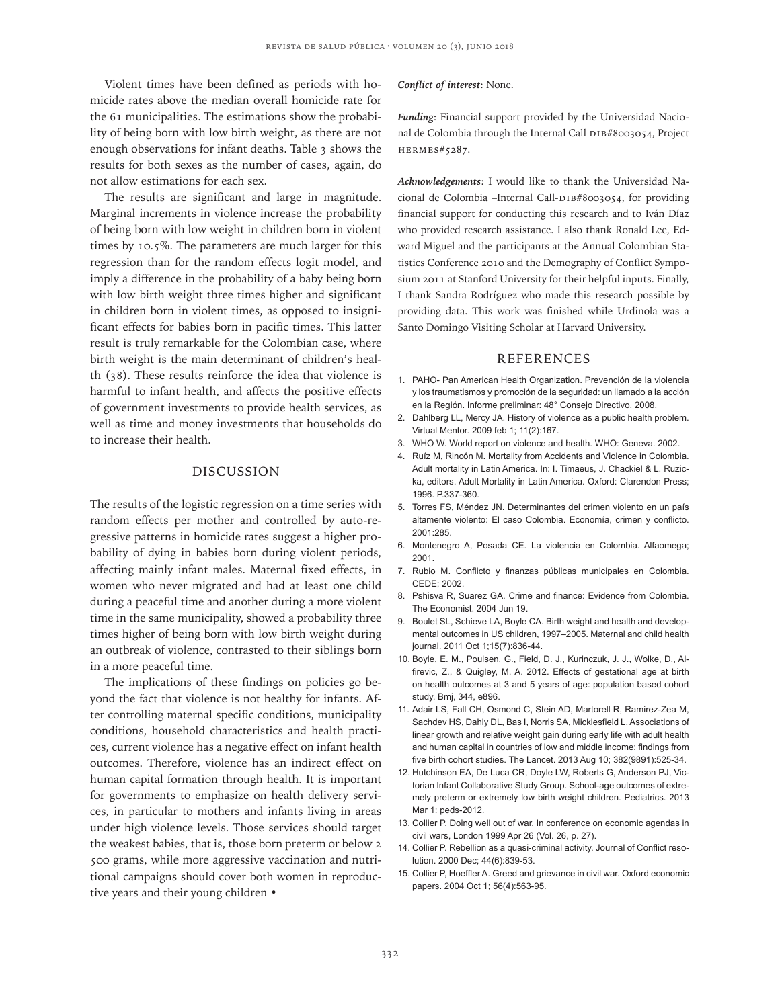Violent times have been defined as periods with homicide rates above the median overall homicide rate for the 61 municipalities. The estimations show the probability of being born with low birth weight, as there are not enough observations for infant deaths. Table 3 shows the results for both sexes as the number of cases, again, do not allow estimations for each sex.

The results are significant and large in magnitude. Marginal increments in violence increase the probability of being born with low weight in children born in violent times by 10.5%. The parameters are much larger for this regression than for the random effects logit model, and imply a difference in the probability of a baby being born with low birth weight three times higher and significant in children born in violent times, as opposed to insignificant effects for babies born in pacific times. This latter result is truly remarkable for the Colombian case, where birth weight is the main determinant of children's health (38). These results reinforce the idea that violence is harmful to infant health, and affects the positive effects of government investments to provide health services, as well as time and money investments that households do to increase their health.

## DISCUSSION

The results of the logistic regression on a time series with random effects per mother and controlled by auto-regressive patterns in homicide rates suggest a higher probability of dying in babies born during violent periods, affecting mainly infant males. Maternal fixed effects, in women who never migrated and had at least one child during a peaceful time and another during a more violent time in the same municipality, showed a probability three times higher of being born with low birth weight during an outbreak of violence, contrasted to their siblings born in a more peaceful time.

The implications of these findings on policies go beyond the fact that violence is not healthy for infants. After controlling maternal specific conditions, municipality conditions, household characteristics and health practices, current violence has a negative effect on infant health outcomes. Therefore, violence has an indirect effect on human capital formation through health. It is important for governments to emphasize on health delivery services, in particular to mothers and infants living in areas under high violence levels. Those services should target the weakest babies, that is, those born preterm or below 2 500 grams, while more aggressive vaccination and nutritional campaigns should cover both women in reproductive years and their young children •

#### *Conflict of interest*: None.

*Funding*: Financial support provided by the Universidad Nacional de Colombia through the Internal Call DIB#8003054, Project HERMES#5287.

*Acknowledgements*: I would like to thank the Universidad Nacional de Colombia –Internal Call-DIB#8003054, for providing financial support for conducting this research and to Iván Díaz who provided research assistance. I also thank Ronald Lee, Edward Miguel and the participants at the Annual Colombian Statistics Conference 2010 and the Demography of Conflict Symposium 2011 at Stanford University for their helpful inputs. Finally, I thank Sandra Rodríguez who made this research possible by providing data. This work was finished while Urdinola was a Santo Domingo Visiting Scholar at Harvard University.

#### **REFERENCES**

- 1. PAHO- Pan American Health Organization. Prevención de la violencia y los traumatismos y promoción de la seguridad: un llamado a la acción en la Región. Informe preliminar: 48° Consejo Directivo. 2008.
- 2. Dahlberg LL, Mercy JA. History of violence as a public health problem. Virtual Mentor. 2009 feb 1; 11(2):167.
- 3. WHO W. World report on violence and health. WHO: Geneva. 2002.
- 4. Ruíz M, Rincón M. Mortality from Accidents and Violence in Colombia. Adult mortality in Latin America. In: I. Timaeus, J. Chackiel & L. Ruzicka, editors. Adult Mortality in Latin America. Oxford: Clarendon Press; 1996. P.337-360.
- 5. Torres FS, Méndez JN. Determinantes del crimen violento en un país altamente violento: El caso Colombia. Economía, crimen y conflicto. 2001:285.
- 6. Montenegro A, Posada CE. La violencia en Colombia. Alfaomega; 2001.
- 7. Rubio M. Conflicto y finanzas públicas municipales en Colombia. CEDE; 2002.
- 8. Pshisva R, Suarez GA. Crime and finance: Evidence from Colombia. The Economist. 2004 Jun 19.
- 9. Boulet SL, Schieve LA, Boyle CA. Birth weight and health and developmental outcomes in US children, 1997–2005. Maternal and child health journal. 2011 Oct 1;15(7):836-44.
- 10. Boyle, E. M., Poulsen, G., Field, D. J., Kurinczuk, J. J., Wolke, D., Alfirevic, Z., & Quigley, M. A. 2012. Effects of gestational age at birth on health outcomes at 3 and 5 years of age: population based cohort study. Bmj, 344, e896.
- 11. Adair LS, Fall CH, Osmond C, Stein AD, Martorell R, Ramirez-Zea M, Sachdev HS, Dahly DL, Bas I, Norris SA, Micklesfield L. Associations of linear growth and relative weight gain during early life with adult health and human capital in countries of low and middle income: findings from five birth cohort studies. The Lancet. 2013 Aug 10; 382(9891):525-34.
- 12. Hutchinson EA, De Luca CR, Doyle LW, Roberts G, Anderson PJ, Victorian Infant Collaborative Study Group. School-age outcomes of extremely preterm or extremely low birth weight children. Pediatrics. 2013 Mar 1: peds-2012.
- 13. Collier P. Doing well out of war. In conference on economic agendas in civil wars, London 1999 Apr 26 (Vol. 26, p. 27).
- 14. Collier P. Rebellion as a quasi-criminal activity. Journal of Conflict resolution. 2000 Dec; 44(6):839-53.
- 15. Collier P, Hoeffler A. Greed and grievance in civil war. Oxford economic papers. 2004 Oct 1; 56(4):563-95.